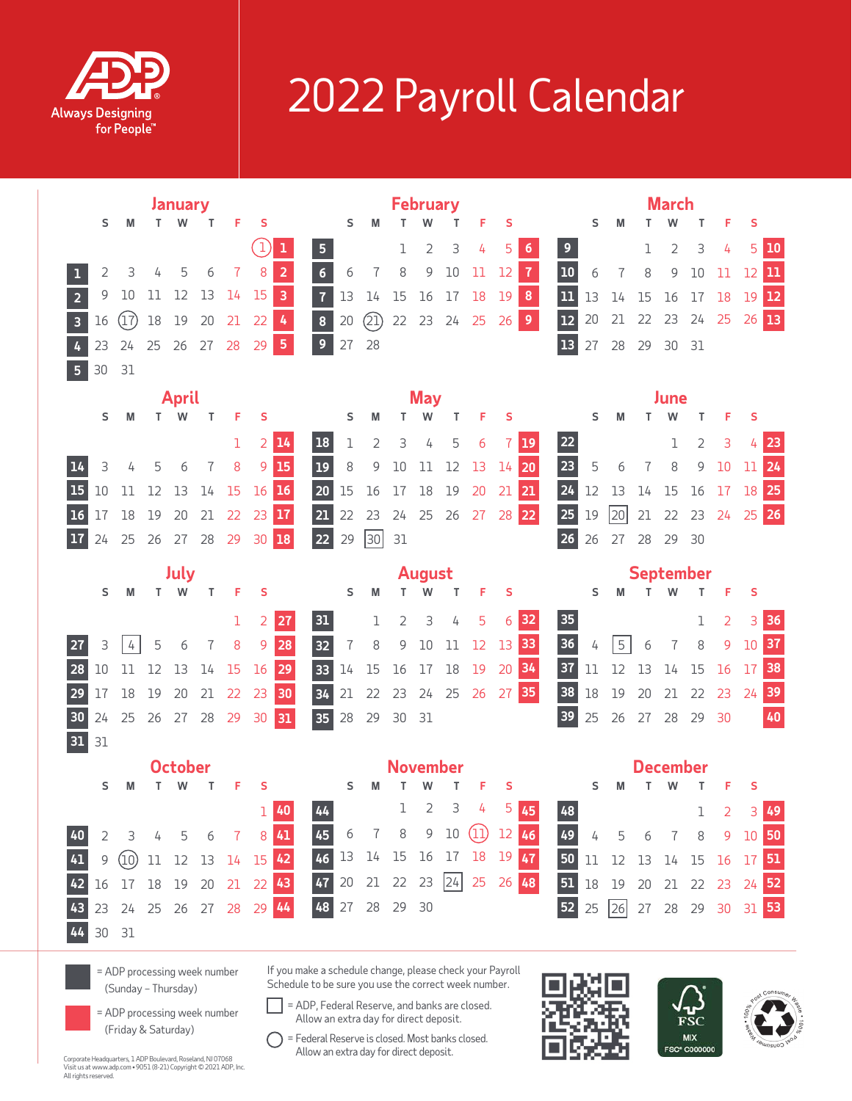

## 2022 Payroll Calendar

|                                                                                                            |                |      |        | January   |                      |       | <b>February</b>      |                                                                                                                                                                                                                                                                |    |    |                |    |                     |    |    |                  | <b>March</b>    |        |    |                |                |                     |                |             |     |
|------------------------------------------------------------------------------------------------------------|----------------|------|--------|-----------|----------------------|-------|----------------------|----------------------------------------------------------------------------------------------------------------------------------------------------------------------------------------------------------------------------------------------------------------|----|----|----------------|----|---------------------|----|----|------------------|-----------------|--------|----|----------------|----------------|---------------------|----------------|-------------|-----|
|                                                                                                            | S              | M    | T.     | W         | T.                   | F     | S                    |                                                                                                                                                                                                                                                                | S  | м  |                |    | т                   | F  | S  |                  |                 | S      | M  |                |                | т                   | F              | S           |     |
|                                                                                                            |                |      |        |           |                      |       | $\ket{1}$<br>1       | 5 <sub>1</sub>                                                                                                                                                                                                                                                 |    |    | 1              | 2  | 3                   | 4  | 5  | 6                | $\overline{9}$  |        |    | 1              | $\overline{2}$ | 3                   | 4              | 5           | 10  |
|                                                                                                            | 2              | 3    | 4      | 5         | 6                    | 7     | $\overline{2}$<br>8  | $6\overline{6}$                                                                                                                                                                                                                                                | 6  | 7  | 8              | 9  | $10\,$              | 11 | 12 | $\overline{1}$   | 10              | 6      | 7  | 8              | 9              | 10                  | 11             | 12          | בנו |
| $\overline{2}$                                                                                             | 9              | 10   | 11     | 12        | 13                   | 14    | $\overline{3}$<br>15 | $\overline{1}$                                                                                                                                                                                                                                                 | 13 | 14 | 15             | 16 | 17                  | 18 | 19 | $\pmb{8}$        | 11              | 13     | 14 | 15             | 16             | 17                  | 18             | 19 12       |     |
| 3                                                                                                          | 16             | (17) | $18\,$ | 19        | 20                   | 21    | $\frac{1}{2}$<br>22  | 8 <sup>1</sup>                                                                                                                                                                                                                                                 | 20 | 2  |                |    | 22 23 24 25         |    | 26 | 9 <sup>°</sup>   | 12              | 20     | 21 | 22             | 23 24          |                     | 25             | 26 13       |     |
|                                                                                                            | 23             | 24   |        |           | 25    26    27    28 |       | $\sqrt{5}$<br>29     | 9 <sup>°</sup>                                                                                                                                                                                                                                                 | 27 | 28 |                |    |                     |    |    |                  | 13              | 27     | 28 | 29             | 30 31          |                     |                |             |     |
| $\overline{5}$                                                                                             | 30             | 31   |        |           |                      |       |                      |                                                                                                                                                                                                                                                                |    |    |                |    |                     |    |    |                  |                 |        |    |                |                |                     |                |             |     |
|                                                                                                            | <b>April</b>   |      |        |           |                      |       |                      |                                                                                                                                                                                                                                                                |    |    | <b>May</b>     |    |                     |    |    |                  | June            |        |    |                |                |                     |                |             |     |
|                                                                                                            | S              | M    |        | T W       | T.                   | F     | S                    |                                                                                                                                                                                                                                                                | S  | M  | T              | W  | Τ                   | F  | S  |                  |                 | S      | M  | T.             | W              | Т                   | F              | S           |     |
|                                                                                                            |                |      |        |           |                      | 1     | 2 14                 | <b>18</b>                                                                                                                                                                                                                                                      | 1  | 2  | 3              | 4  | 5                   | 6  | 7  | <b>19</b>        | <b>22</b>       |        |    |                | ı              | $\overline{2}$      | 3              |             | 23  |
|                                                                                                            | 3              | 4    | 5      | 6         | $\overline{1}$       | $8\,$ | 9 15                 | $19$                                                                                                                                                                                                                                                           | 8  | 9  | $10\,$         | 11 | 12                  | 13 |    | $14$ 20          | 23              | 5      | 6  | $\overline{1}$ | $\,8\,$        | 9                   | 10             | 11 24       |     |
| <b>15</b>                                                                                                  | 10             | 11   | 12     | 13        | 14                   | 15    | $16$ 16              | 20                                                                                                                                                                                                                                                             | 15 | 16 | 17             | 18 | 19                  | 20 | 21 | 21               | $\overline{24}$ | 12     | 13 | 14             | 15             | 16                  | 17             | 18 25       |     |
| <b>16</b>                                                                                                  | 17             | 18   | 19     | 20        | 21                   |       | 22 23 17             | 21                                                                                                                                                                                                                                                             | 22 | 23 |                |    | 24 25 26 27 28 22   |    |    |                  | <b>25</b>       | 19     | 20 | 21             | 22             |                     |                | 23 24 25 26 |     |
| 17                                                                                                         | 24             | 25   |        |           |                      |       | 26 27 28 29 30 18    | 22                                                                                                                                                                                                                                                             | 29 | 30 | 31             |    |                     |    |    |                  | 26              | 26     | 27 |                | 28 29 30       |                     |                |             |     |
|                                                                                                            |                |      |        |           |                      |       | August               |                                                                                                                                                                                                                                                                |    |    |                |    |                     |    |    | <b>September</b> |                 |        |    |                |                |                     |                |             |     |
|                                                                                                            | S              | M    | T.     | July<br>W | Τ                    | F     | S                    |                                                                                                                                                                                                                                                                | S  | M  |                | w  | Т                   | F  | S  |                  |                 | s      | M  |                | W              | T.                  | F              | S           |     |
|                                                                                                            |                |      |        |           |                      | 1     | 2<br><b>27</b>       | 31                                                                                                                                                                                                                                                             |    | ı  | $\overline{2}$ | 3  | 4                   | 5  | 6  | 32               | 35              |        |    |                |                | ı                   | $\overline{2}$ | 3           | 36  |
|                                                                                                            | 3              | 4    | 5      | 6         | 7                    | 8     | 9<br>28              | 32                                                                                                                                                                                                                                                             | 7  | 8  | 9              | 10 | 11                  | 12 | 13 | 33               | 36              | 4      | 5  | 6              | 7              | 8                   | 9              | 10          | 37  |
| 28                                                                                                         | 10             | 11   | 12     | 13        | 14                   | 15    | 29<br>16             | 33                                                                                                                                                                                                                                                             | 14 | 15 | 16             | 17 | 18                  | 19 | 20 | 34               | 37              | 11     | 12 | 13             | 14             | 15                  | 16             | 17          | 38  |
| 29                                                                                                         | 17             | 18   | 19     | 20        | 21                   | 22    | 30<br>23             | 34                                                                                                                                                                                                                                                             | 21 | 22 |                |    | 23 24 25 26 27      |    |    | 35               | 38              | $18\,$ | 19 | 20             | 21 22          |                     | 23             | 24          | 39  |
| 30                                                                                                         | 24             | 25   |        |           | 26 27 28 29          |       | 31<br>30             | 35                                                                                                                                                                                                                                                             | 28 | 29 | 30 31          |    |                     |    |    |                  | 39              | 25     | 26 | 27             | 28 29          |                     | 30             |             | 40  |
| 31 31                                                                                                      |                |      |        |           |                      |       |                      |                                                                                                                                                                                                                                                                |    |    |                |    |                     |    |    |                  |                 |        |    |                |                |                     |                |             |     |
|                                                                                                            | <b>October</b> |      |        |           |                      |       | November             |                                                                                                                                                                                                                                                                |    |    |                |    |                     |    |    |                  | December        |        |    |                |                |                     |                |             |     |
|                                                                                                            | s              | M    | T.     | W         | т                    | F     | s                    |                                                                                                                                                                                                                                                                | S  |    |                | W  | T.                  | F  | S  |                  |                 | S      | M  |                | W              | T.                  | F.             | S           |     |
|                                                                                                            |                |      |        |           |                      |       | $T_{\rm A}$          |                                                                                                                                                                                                                                                                |    |    |                |    | $1 \quad 2 \quad 3$ | 4  | 5. | 45               | $\overline{A}$  |        |    |                |                | $\overline{1}$      | ົາ             | $210$       |     |
|                                                                                                            | 2              | З    |        |           |                      |       | 41                   | 45                                                                                                                                                                                                                                                             | 6  |    | 8              | 9  | 10                  |    | 12 | 46               | 49              |        |    |                |                |                     | 9              | 10          | 50  |
|                                                                                                            | 9              | (10) | 11     | 12        | 13                   | 14    | 42<br>15             | 46                                                                                                                                                                                                                                                             | 13 | 14 | 15             | 16 | 17                  | 18 | 19 | 47               | 50              | 11     | 12 | 13             | 14             | 15                  | 16             | 17          |     |
|                                                                                                            | 16             | 17   | 18     | 19        | 20                   | 21    | 43<br>22             | 47                                                                                                                                                                                                                                                             | 20 | 21 | 22             | 23 | 24                  | 25 | 26 | 48               | 51              | 18     | 19 | 20             | 21             | 22                  | 23             | 24          |     |
|                                                                                                            | 23             | 24   | 25     | 26        | 27                   | 28    | 44<br>29             | 48                                                                                                                                                                                                                                                             | 27 | 28 | 29             | 30 |                     |    |    |                  | 52              | 25     | 26 | 27             | 28             | 29                  | 30             | 31          |     |
|                                                                                                            | 30             | 31   |        |           |                      |       |                      |                                                                                                                                                                                                                                                                |    |    |                |    |                     |    |    |                  |                 |        |    |                |                |                     |                |             |     |
| = ADP processing week number<br>(Sunday - Thursday)<br>= ADP processing week number<br>(Friday & Saturday) |                |      |        |           |                      |       |                      | If you make a schedule change, please check your Payroll<br>Schedule to be sure you use the correct week number.<br>= ADP, Federal Reserve, and banks are closed.<br>Allow an extra day for direct deposit.<br>= Federal Reserve is closed. Most banks closed. |    |    |                |    |                     |    |    |                  |                 |        |    |                |                | FSC<br><b>MIX</b>   |                |             |     |
|                                                                                                            |                |      |        |           |                      |       |                      | Allow an extra day for direct deposit                                                                                                                                                                                                                          |    |    |                |    |                     |    |    |                  |                 |        |    |                |                | <b>FSC® C000000</b> |                |             |     |

Corporate Headquarters, 1 ADP Boulevard, Roseland, NJ 07068 Visit us at www.adp.com • 9051 (8-21) Copyright © 2021 ADP, Inc. All rights reserved.

= Federal Reserve is closed. Most banks closed. Allow an extra day for direct deposit.